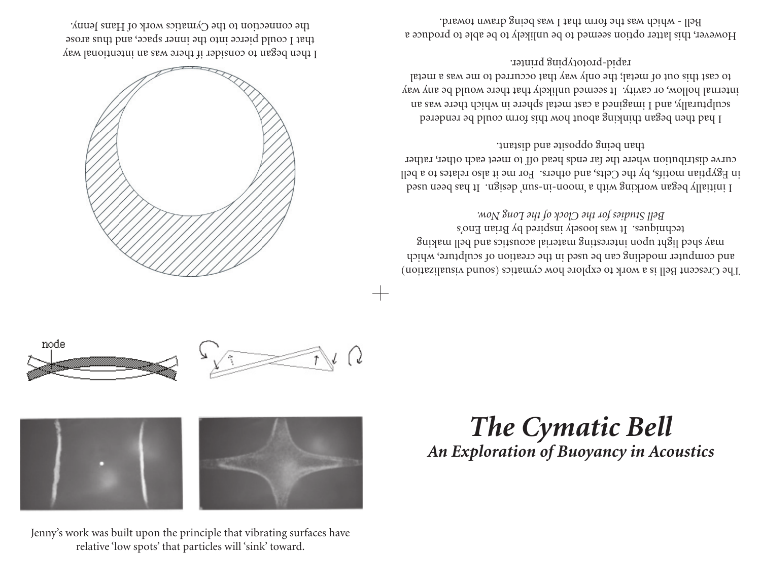Jenny's work was built upon the principle that vibrating surfaces have relative 'low spots' that particles will 'sink' toward.



## *The Cymatic Bell An Exploration of Buoyancy in Acoustics*







I then began to consider if there was an intentional way that I could pierce into the inner space, and thus arose the connection to the Cymatics work of Hans Jenny.

> The Crescent Bell is a work to explore how cynatics (sound visualization) and computer modeling can be used in the creation of sculpture, which may shed light noque intesting material acousting bell making techniques. It was loosely inspired by Brian Eno's *Bell Studies for the Clock of the Long Now.*

> I initially began working with a 'moon-in-sun' design. It has been used in Egyptian motifs, by the Celts, and others. For me it also relates to a bell curve distribution where the far ends head off to meet each other, rather than being opposite and distant.

> I had then began thinking about how this form could be rendered sculpturally, and I imagined a cast metal sphere in which there was an internal hollow, or cavity. It seemed unlikely that there would be any way to cast this out of metal; the only way that occurred to me was a metal rapid-prototyping printer.

> However, this latter option seemed to be unlikely to be able to produce a Bell - which was the form that I was being drawn toward.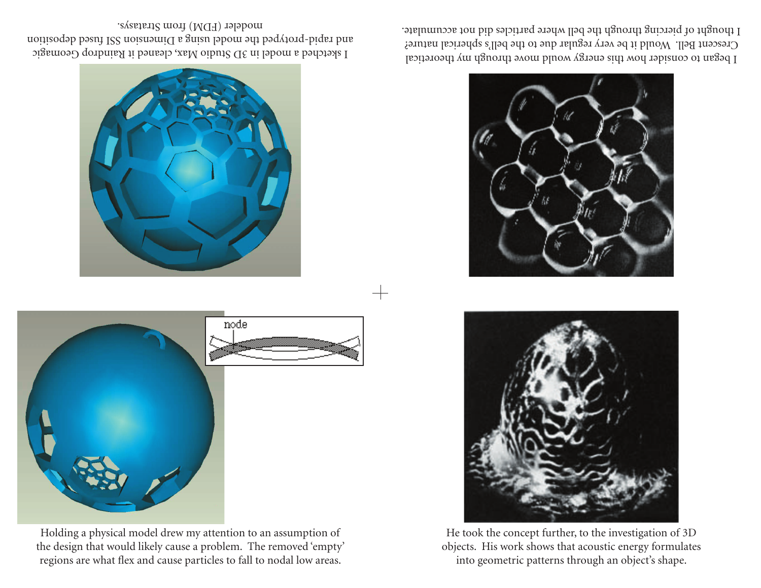Holding a physical model drew my attention to an assumption of the design that would likely cause a problem. The removed 'empty' regions are what flex and cause particles to fall to nodal low areas.

node









I sketched a model in 3D Studio Max, cleaned it Raindrop Geomagic and rapid-protyped the model using a Dimension SSI fused deposition modeler (FDM) from Stratasys.

 $\!$ 

I began to consider how this energy would move through my theoretical Crescent Bell. Would it be very regular due to the bell's spherical nature? I thought of piercing through the bell where particles did not accumulate.